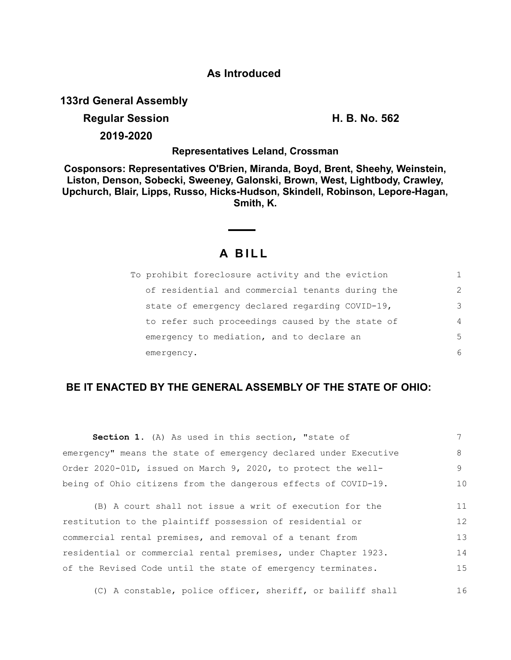## **As Introduced**

**133rd General Assembly**

## **Regular Session H. B. No. 562**

**2019-2020**

**Representatives Leland, Crossman**

**Cosponsors: Representatives O'Brien, Miranda, Boyd, Brent, Sheehy, Weinstein, Liston, Denson, Sobecki, Sweeney, Galonski, Brown, West, Lightbody, Crawley, Upchurch, Blair, Lipps, Russo, Hicks-Hudson, Skindell, Robinson, Lepore-Hagan, Smith, K.**

# **A B I L L**

| To prohibit foreclosure activity and the eviction |                |
|---------------------------------------------------|----------------|
| of residential and commercial tenants during the  | $\mathcal{L}$  |
| state of emergency declared regarding COVID-19,   | 3              |
| to refer such proceedings caused by the state of  | $\overline{4}$ |
| emergency to mediation, and to declare an         | 5              |
| emergency.                                        | 6              |

## **BE IT ENACTED BY THE GENERAL ASSEMBLY OF THE STATE OF OHIO:**

| Section 1. (A) As used in this section, "state of                |    |
|------------------------------------------------------------------|----|
| emergency" means the state of emergency declared under Executive | 8  |
| Order 2020-01D, issued on March 9, 2020, to protect the well-    | 9. |
| being of Ohio citizens from the dangerous effects of COVID-19.   | 10 |

(B) A court shall not issue a writ of execution for the restitution to the plaintiff possession of residential or commercial rental premises, and removal of a tenant from residential or commercial rental premises, under Chapter 1923. of the Revised Code until the state of emergency terminates. 11 12 13 14 15

(C) A constable, police officer, sheriff, or bailiff shall 16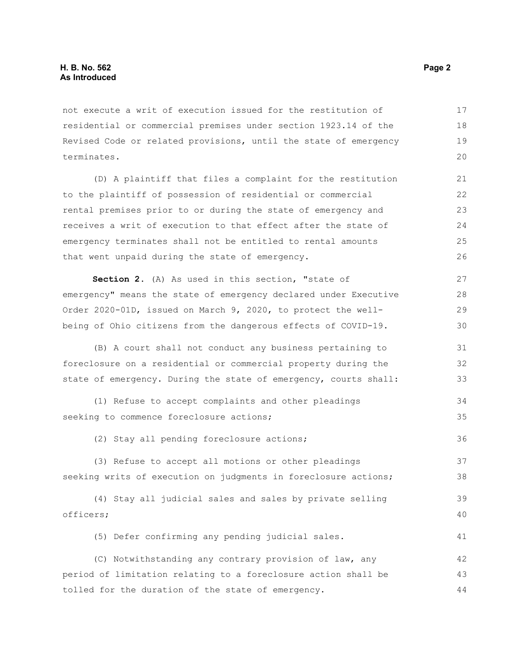not execute a writ of execution issued for the restitution of residential or commercial premises under section 1923.14 of the Revised Code or related provisions, until the state of emergency terminates. 17 18 19 20

(D) A plaintiff that files a complaint for the restitution to the plaintiff of possession of residential or commercial rental premises prior to or during the state of emergency and receives a writ of execution to that effect after the state of emergency terminates shall not be entitled to rental amounts that went unpaid during the state of emergency. 21 23 24 25 26

**Section 2.** (A) As used in this section, "state of emergency" means the state of emergency declared under Executive Order 2020-01D, issued on March 9, 2020, to protect the wellbeing of Ohio citizens from the dangerous effects of COVID-19. 27 28 29 30

(B) A court shall not conduct any business pertaining to foreclosure on a residential or commercial property during the state of emergency. During the state of emergency, courts shall: 31 32 33

```
(1) Refuse to accept complaints and other pleadings
seeking to commence foreclosure actions;
                                                                             34
                                                                             35
```
(2) Stay all pending foreclosure actions;

(3) Refuse to accept all motions or other pleadings seeking writs of execution on judgments in foreclosure actions; 37 38

```
(4) Stay all judicial sales and sales by private selling
officers; 
                                                                              39
                                                                              40
```
(5) Defer confirming any pending judicial sales.

(C) Notwithstanding any contrary provision of law, any period of limitation relating to a foreclosure action shall be tolled for the duration of the state of emergency. 42 43 44

22

36

41